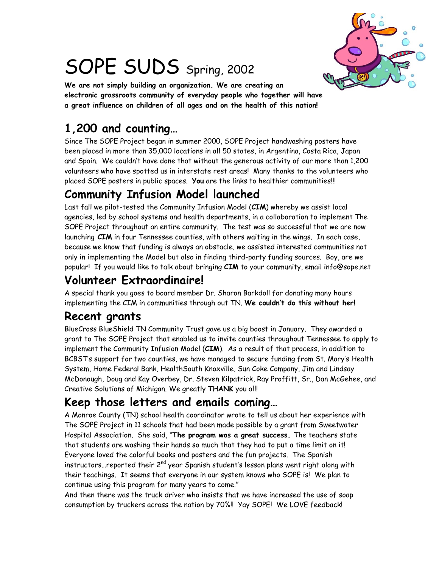

# SOPE SUDS Spring, 2002

**We are not simply building an organization. We are creating an electronic grassroots community of everyday people who together will have a great influence on children of all ages and on the health of this nation!**

# **1,200 and counting…**

Since The SOPE Project began in summer 2000, SOPE Project handwashing posters have been placed in more than 35,000 locations in all 50 states, in Argentina, Costa Rica, Japan and Spain. We couldn't have done that without the generous activity of our more than 1,200 volunteers who have spotted us in interstate rest areas! Many thanks to the volunteers who placed SOPE posters in public spaces. **You** are the links to healthier communities!!!

## **Community Infusion Model launched**

Last fall we pilot-tested the Community Infusion Model (**CIM**) whereby we assist local agencies, led by school systems and health departments, in a collaboration to implement The SOPE Project throughout an entire community. The test was so successful that we are now launching **CIM** in four Tennessee counties, with others waiting in the wings. In each case, because we know that funding is always an obstacle, we assisted interested communities not only in implementing the Model but also in finding third-party funding sources. Boy, are we popular! If you would like to talk about bringing **CIM** to your community, email info@sope.net

## **Volunteer Extraordinaire!**

A special thank you goes to board member Dr. Sharon Barkdoll for donating many hours implementing the CIM in communities through out TN. **We couldn't do this without her!**

## **Recent grants**

BlueCross BlueShield TN Community Trust gave us a big boost in January. They awarded a grant to The SOPE Project that enabled us to invite counties throughout Tennessee to apply to implement the Community Infusion Model (**CIM**). As a result of that process, in addition to BCBST's support for two counties, we have managed to secure funding from St. Mary's Health System, Home Federal Bank, HealthSouth Knoxville, Sun Coke Company, Jim and Lindsay McDonough, Doug and Kay Overbey, Dr. Steven Kilpatrick, Ray Proffitt, Sr., Dan McGehee, and Creative Solutions of Michigan. We greatly **THANK** you all!

## **Keep those letters and emails coming…**

A Monroe County (TN) school health coordinator wrote to tell us about her experience with The SOPE Project in 11 schools that had been made possible by a grant from Sweetwater Hospital Association. She said, "**The program was a great success.** The teachers state that students are washing their hands so much that they had to put a time limit on it! Everyone loved the colorful books and posters and the fun projects. The Spanish instructors...reported their 2<sup>nd</sup> year Spanish student's lesson plans went right along with their teachings. It seems that everyone in our system knows who SOPE is! We plan to continue using this program for many years to come."

And then there was the truck driver who insists that we have increased the use of soap consumption by truckers across the nation by 70%!! Yay SOPE! We LOVE feedback!